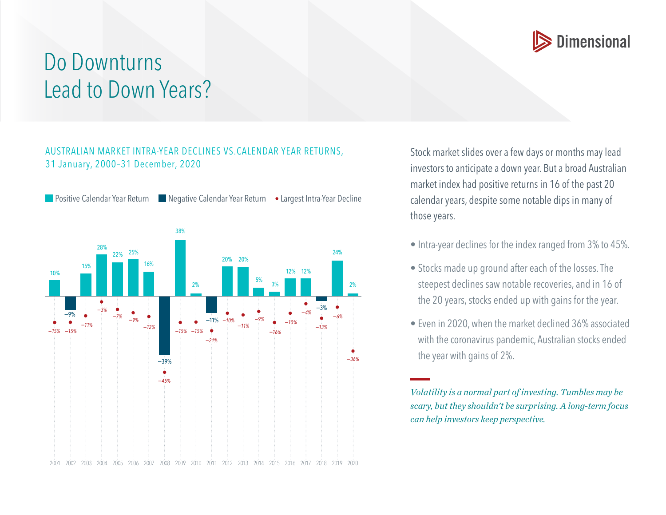

## Do Downturns Lead to Down Years?

## AUSTRALIAN MARKET INTRA-YEAR DECLINES VS.CALENDAR YEAR RETURNS, 31 January, 2000–31 December, 2020

**Positive Calendar Year Return Negative Calendar Year Return • Largest Intra-Year Decline** 2001 2002 2003 2004 2005 2006 2007 2008 2009 2010 2011 2012 2013 2014 2015 2016 2017 2018 2019 2020 28% 22% 25% 16% 38% 2% 20% 20%  $\frac{5\%}{3\%}$ 12% 12% 24% 2% 15% 10% −9% −11% −39% −3% *−36% −45% −13% −6% −4% −10% −16% −11%*  $-10\%$ *−21% −15% −15% −12% −9% −7% −3% −11% −15% −15%*

Stock market slides over a few days or months may lead investors to anticipate a down year. But a broad Australian market index had positive returns in 16 of the past 20 calendar years, despite some notable dips in many of those years.

- Intra-year declines for the index ranged from 3% to 45%.
- Stocks made up ground after each of the losses. The steepest declines saw notable recoveries, and in 16 of the 20 years, stocks ended up with gains for the year.
- Even in 2020, when the market declined 36% associated with the coronavirus pandemic, Australian stocks ended the year with gains of 2%.

*Volatility is a normal part of investing. Tumbles may be scary, but they shouldn't be surprising. A long-term focus can help investors keep perspective.*